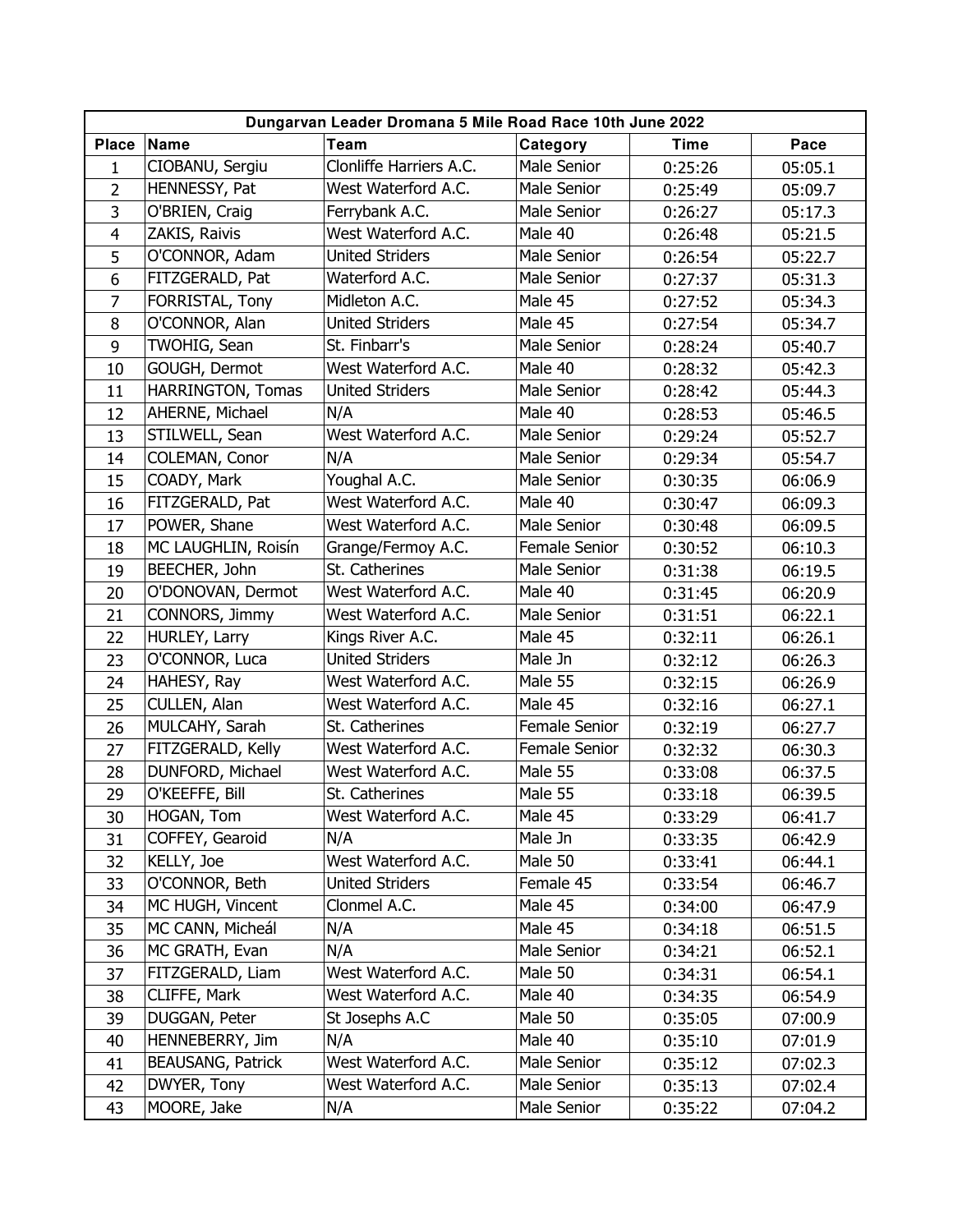| Dungarvan Leader Dromana 5 Mile Road Race 10th June 2022 |                          |                         |                    |             |         |  |  |
|----------------------------------------------------------|--------------------------|-------------------------|--------------------|-------------|---------|--|--|
| <b>Place</b>                                             | Name                     | Team                    | Category           | <b>Time</b> | Pace    |  |  |
| 1                                                        | CIOBANU, Sergiu          | Clonliffe Harriers A.C. | <b>Male Senior</b> | 0:25:26     | 05:05.1 |  |  |
| $\overline{2}$                                           | HENNESSY, Pat            | West Waterford A.C.     | Male Senior        | 0:25:49     | 05:09.7 |  |  |
| 3                                                        | O'BRIEN, Craig           | Ferrybank A.C.          | Male Senior        | 0:26:27     | 05:17.3 |  |  |
| $\overline{4}$                                           | ZAKIS, Raivis            | West Waterford A.C.     | Male 40            | 0:26:48     | 05:21.5 |  |  |
| 5                                                        | O'CONNOR, Adam           | <b>United Striders</b>  | Male Senior        | 0:26:54     | 05:22.7 |  |  |
| 6                                                        | FITZGERALD, Pat          | Waterford A.C.          | Male Senior        | 0:27:37     | 05:31.3 |  |  |
| $\overline{7}$                                           | FORRISTAL, Tony          | Midleton A.C.           | Male 45            | 0:27:52     | 05:34.3 |  |  |
| 8                                                        | O'CONNOR, Alan           | <b>United Striders</b>  | Male 45            | 0:27:54     | 05:34.7 |  |  |
| 9                                                        | TWOHIG, Sean             | St. Finbarr's           | Male Senior        | 0:28:24     | 05:40.7 |  |  |
| 10                                                       | GOUGH, Dermot            | West Waterford A.C.     | Male 40            | 0:28:32     | 05:42.3 |  |  |
| 11                                                       | HARRINGTON, Tomas        | <b>United Striders</b>  | Male Senior        | 0:28:42     | 05:44.3 |  |  |
| 12                                                       | AHERNE, Michael          | N/A                     | Male 40            | 0:28:53     | 05:46.5 |  |  |
| 13                                                       | STILWELL, Sean           | West Waterford A.C.     | Male Senior        | 0:29:24     | 05:52.7 |  |  |
| 14                                                       | COLEMAN, Conor           | N/A                     | Male Senior        | 0:29:34     | 05:54.7 |  |  |
| 15                                                       | COADY, Mark              | Youghal A.C.            | Male Senior        | 0:30:35     | 06:06.9 |  |  |
| 16                                                       | FITZGERALD, Pat          | West Waterford A.C.     | Male 40            | 0:30:47     | 06:09.3 |  |  |
| 17                                                       | POWER, Shane             | West Waterford A.C.     | Male Senior        | 0:30:48     | 06:09.5 |  |  |
| 18                                                       | MC LAUGHLIN, Roisín      | Grange/Fermoy A.C.      | Female Senior      | 0:30:52     | 06:10.3 |  |  |
| 19                                                       | BEECHER, John            | St. Catherines          | Male Senior        | 0:31:38     | 06:19.5 |  |  |
| 20                                                       | O'DONOVAN, Dermot        | West Waterford A.C.     | Male 40            | 0:31:45     | 06:20.9 |  |  |
| 21                                                       | CONNORS, Jimmy           | West Waterford A.C.     | Male Senior        | 0:31:51     | 06:22.1 |  |  |
| 22                                                       | HURLEY, Larry            | Kings River A.C.        | Male 45            | 0:32:11     | 06:26.1 |  |  |
| 23                                                       | O'CONNOR, Luca           | <b>United Striders</b>  | Male Jn            | 0:32:12     | 06:26.3 |  |  |
| 24                                                       | HAHESY, Ray              | West Waterford A.C.     | Male 55            | 0:32:15     | 06:26.9 |  |  |
| 25                                                       | CULLEN, Alan             | West Waterford A.C.     | Male 45            | 0:32:16     | 06:27.1 |  |  |
| 26                                                       | MULCAHY, Sarah           | St. Catherines          | Female Senior      | 0:32:19     | 06:27.7 |  |  |
| 27                                                       | FITZGERALD, Kelly        | West Waterford A.C.     | Female Senior      | 0:32:32     | 06:30.3 |  |  |
| 28                                                       | DUNFORD, Michael         | West Waterford A.C.     | Male 55            | 0:33:08     | 06:37.5 |  |  |
| 29                                                       | O'KEEFFE, Bill           | St. Catherines          | Male 55            | 0:33:18     | 06:39.5 |  |  |
| 30                                                       | HOGAN, Tom               | West Waterford A.C.     | Male 45            | 0:33:29     | 06:41.7 |  |  |
| 31                                                       | COFFEY, Gearoid          | N/A                     | Male Jn            | 0:33:35     | 06:42.9 |  |  |
| 32                                                       | KELLY, Joe               | West Waterford A.C.     | Male 50            | 0:33:41     | 06:44.1 |  |  |
| 33                                                       | O'CONNOR, Beth           | <b>United Striders</b>  | Female 45          | 0:33:54     | 06:46.7 |  |  |
| 34                                                       | MC HUGH, Vincent         | Clonmel A.C.            | Male 45            | 0:34:00     | 06:47.9 |  |  |
| 35                                                       | MC CANN, Micheál         | N/A                     | Male 45            | 0:34:18     | 06:51.5 |  |  |
| 36                                                       | MC GRATH, Evan           | N/A                     | Male Senior        | 0:34:21     | 06:52.1 |  |  |
| 37                                                       | FITZGERALD, Liam         | West Waterford A.C.     | Male 50            | 0:34:31     | 06:54.1 |  |  |
| 38                                                       | CLIFFE, Mark             | West Waterford A.C.     | Male 40            | 0:34:35     | 06:54.9 |  |  |
| 39                                                       | DUGGAN, Peter            | St Josephs A.C          | Male 50            | 0:35:05     | 07:00.9 |  |  |
| 40                                                       | HENNEBERRY, Jim          | N/A                     | Male 40            | 0:35:10     | 07:01.9 |  |  |
| 41                                                       | <b>BEAUSANG, Patrick</b> | West Waterford A.C.     | Male Senior        | 0:35:12     | 07:02.3 |  |  |
| 42                                                       | DWYER, Tony              | West Waterford A.C.     | Male Senior        | 0:35:13     | 07:02.4 |  |  |
| 43                                                       | MOORE, Jake              | N/A                     | Male Senior        | 0:35:22     | 07:04.2 |  |  |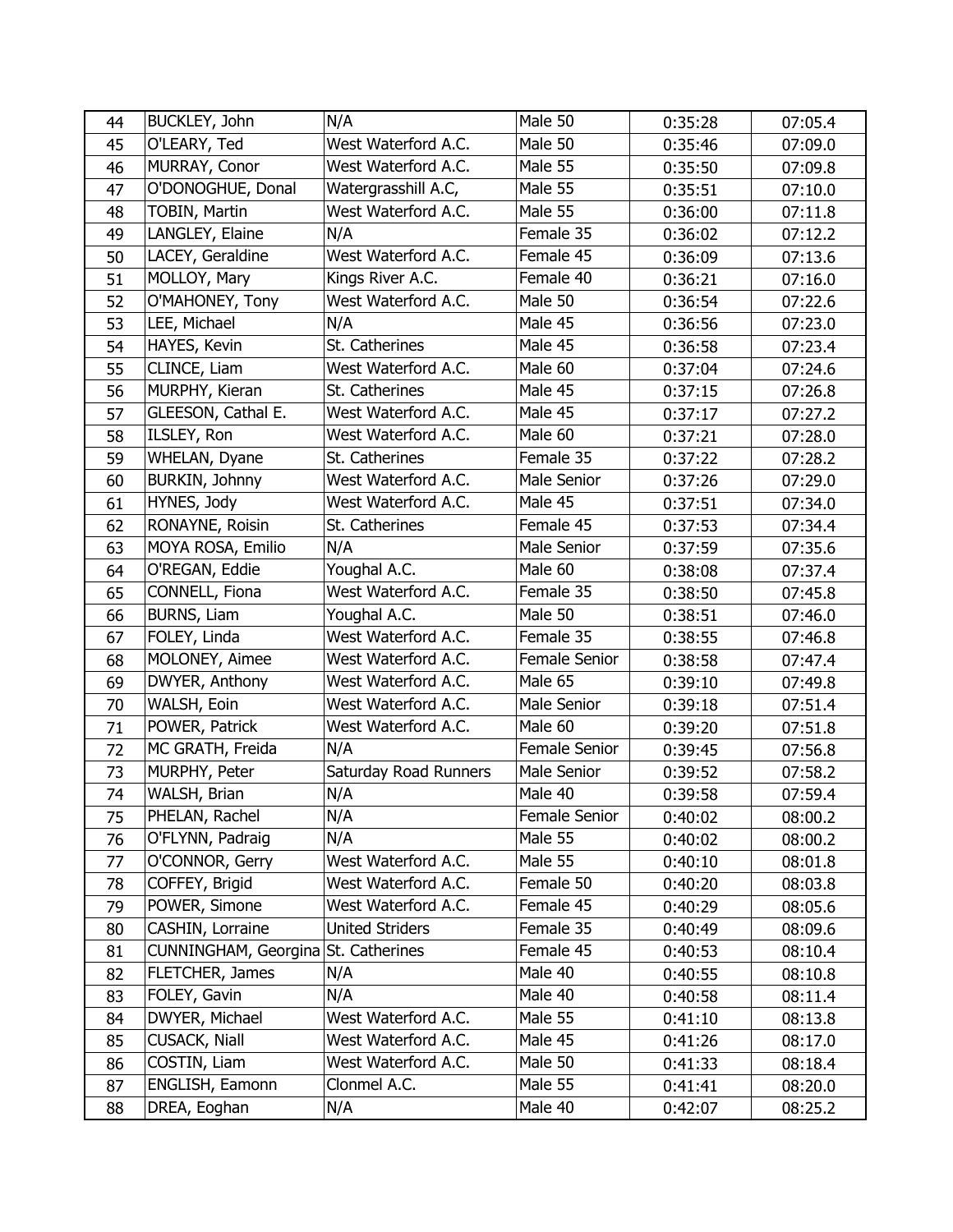| 44 | BUCKLEY, John                       | N/A                    | Male 50       | 0:35:28 | 07:05.4 |
|----|-------------------------------------|------------------------|---------------|---------|---------|
| 45 | O'LEARY, Ted                        | West Waterford A.C.    | Male 50       | 0:35:46 | 07:09.0 |
| 46 | MURRAY, Conor                       | West Waterford A.C.    | Male 55       | 0:35:50 | 07:09.8 |
| 47 | O'DONOGHUE, Donal                   | Watergrasshill A.C,    | Male 55       | 0:35:51 | 07:10.0 |
| 48 | <b>TOBIN, Martin</b>                | West Waterford A.C.    | Male 55       | 0:36:00 | 07:11.8 |
| 49 | LANGLEY, Elaine                     | N/A                    | Female 35     | 0:36:02 | 07:12.2 |
| 50 | LACEY, Geraldine                    | West Waterford A.C.    | Female 45     | 0:36:09 | 07:13.6 |
| 51 | MOLLOY, Mary                        | Kings River A.C.       | Female 40     | 0:36:21 | 07:16.0 |
| 52 | O'MAHONEY, Tony                     | West Waterford A.C.    | Male 50       | 0:36:54 | 07:22.6 |
| 53 | LEE, Michael                        | N/A                    | Male 45       | 0:36:56 | 07:23.0 |
| 54 | HAYES, Kevin                        | St. Catherines         | Male 45       | 0:36:58 | 07:23.4 |
| 55 | CLINCE, Liam                        | West Waterford A.C.    | Male 60       | 0:37:04 | 07:24.6 |
| 56 | MURPHY, Kieran                      | St. Catherines         | Male 45       | 0:37:15 | 07:26.8 |
| 57 | GLEESON, Cathal E.                  | West Waterford A.C.    | Male 45       | 0:37:17 | 07:27.2 |
| 58 | ILSLEY, Ron                         | West Waterford A.C.    | Male 60       | 0:37:21 | 07:28.0 |
| 59 | WHELAN, Dyane                       | St. Catherines         | Female 35     | 0:37:22 | 07:28.2 |
| 60 | BURKIN, Johnny                      | West Waterford A.C.    | Male Senior   | 0:37:26 | 07:29.0 |
| 61 | HYNES, Jody                         | West Waterford A.C.    | Male 45       | 0:37:51 | 07:34.0 |
| 62 | RONAYNE, Roisin                     | St. Catherines         | Female 45     | 0:37:53 | 07:34.4 |
| 63 | MOYA ROSA, Emilio                   | N/A                    | Male Senior   | 0:37:59 | 07:35.6 |
| 64 | O'REGAN, Eddie                      | Youghal A.C.           | Male 60       | 0:38:08 | 07:37.4 |
| 65 | CONNELL, Fiona                      | West Waterford A.C.    | Female 35     | 0:38:50 | 07:45.8 |
| 66 | BURNS, Liam                         | Youghal A.C.           | Male 50       | 0:38:51 | 07:46.0 |
| 67 | FOLEY, Linda                        | West Waterford A.C.    | Female 35     | 0:38:55 | 07:46.8 |
| 68 | MOLONEY, Aimee                      | West Waterford A.C.    | Female Senior | 0:38:58 | 07:47.4 |
| 69 | DWYER, Anthony                      | West Waterford A.C.    | Male 65       | 0:39:10 | 07:49.8 |
| 70 | WALSH, Eoin                         | West Waterford A.C.    | Male Senior   | 0:39:18 | 07:51.4 |
| 71 | POWER, Patrick                      | West Waterford A.C.    | Male 60       | 0:39:20 | 07:51.8 |
| 72 | MC GRATH, Freida                    | N/A                    | Female Senior | 0:39:45 | 07:56.8 |
| 73 | MURPHY, Peter                       | Saturday Road Runners  | Male Senior   | 0:39:52 | 07:58.2 |
| 74 | WALSH, Brian                        | N/A                    | Male 40       | 0:39:58 | 07:59.4 |
| 75 | PHELAN, Rachel                      | N/A                    | Female Senior | 0:40:02 | 08:00.2 |
| 76 | O'FLYNN, Padraig                    | N/A                    | Male 55       | 0:40:02 | 08:00.2 |
| 77 | O'CONNOR, Gerry                     | West Waterford A.C.    | Male 55       | 0:40:10 | 08:01.8 |
| 78 | COFFEY, Brigid                      | West Waterford A.C.    | Female 50     | 0:40:20 | 08:03.8 |
| 79 | POWER, Simone                       | West Waterford A.C.    | Female 45     | 0:40:29 | 08:05.6 |
| 80 | CASHIN, Lorraine                    | <b>United Striders</b> | Female 35     | 0:40:49 | 08:09.6 |
| 81 | CUNNINGHAM, Georgina St. Catherines |                        | Female 45     | 0:40:53 | 08:10.4 |
| 82 | FLETCHER, James                     | N/A                    | Male 40       | 0:40:55 | 08:10.8 |
| 83 | FOLEY, Gavin                        | N/A                    | Male 40       | 0:40:58 | 08:11.4 |
| 84 | DWYER, Michael                      | West Waterford A.C.    | Male 55       | 0:41:10 | 08:13.8 |
| 85 | CUSACK, Niall                       | West Waterford A.C.    | Male 45       | 0:41:26 | 08:17.0 |
| 86 | COSTIN, Liam                        | West Waterford A.C.    | Male 50       | 0:41:33 | 08:18.4 |
| 87 | ENGLISH, Eamonn                     | Clonmel A.C.           | Male 55       | 0:41:41 | 08:20.0 |
| 88 | DREA, Eoghan                        | N/A                    | Male 40       | 0:42:07 | 08:25.2 |